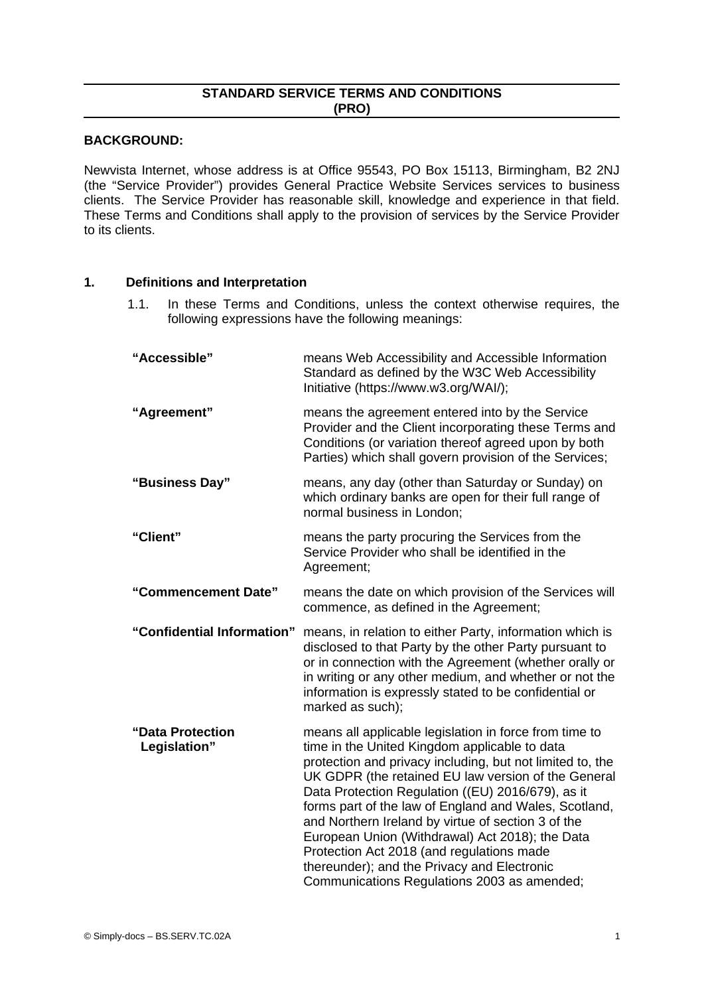# **STANDARD SERVICE TERMS AND CONDITIONS (PRO)**

### **BACKGROUND:**

Newvista Internet, whose address is at Office 95543, PO Box 15113, Birmingham, B2 2NJ (the "Service Provider") provides General Practice Website Services services to business clients. The Service Provider has reasonable skill, knowledge and experience in that field. These Terms and Conditions shall apply to the provision of services by the Service Provider to its clients.

# **1. Definitions and Interpretation**

1.1. In these Terms and Conditions, unless the context otherwise requires, the following expressions have the following meanings:

| "Accessible"                     | means Web Accessibility and Accessible Information<br>Standard as defined by the W3C Web Accessibility<br>Initiative (https://www.w3.org/WAI/);                                                                                                                                                                                                                                                                                                                                                                                                                                               |  |
|----------------------------------|-----------------------------------------------------------------------------------------------------------------------------------------------------------------------------------------------------------------------------------------------------------------------------------------------------------------------------------------------------------------------------------------------------------------------------------------------------------------------------------------------------------------------------------------------------------------------------------------------|--|
| "Agreement"                      | means the agreement entered into by the Service<br>Provider and the Client incorporating these Terms and<br>Conditions (or variation thereof agreed upon by both<br>Parties) which shall govern provision of the Services;                                                                                                                                                                                                                                                                                                                                                                    |  |
| "Business Day"                   | means, any day (other than Saturday or Sunday) on<br>which ordinary banks are open for their full range of<br>normal business in London;                                                                                                                                                                                                                                                                                                                                                                                                                                                      |  |
| "Client"                         | means the party procuring the Services from the<br>Service Provider who shall be identified in the<br>Agreement;                                                                                                                                                                                                                                                                                                                                                                                                                                                                              |  |
| "Commencement Date"              | means the date on which provision of the Services will<br>commence, as defined in the Agreement;                                                                                                                                                                                                                                                                                                                                                                                                                                                                                              |  |
| "Confidential Information"       | means, in relation to either Party, information which is<br>disclosed to that Party by the other Party pursuant to<br>or in connection with the Agreement (whether orally or<br>in writing or any other medium, and whether or not the<br>information is expressly stated to be confidential or<br>marked as such);                                                                                                                                                                                                                                                                           |  |
| "Data Protection<br>Legislation" | means all applicable legislation in force from time to<br>time in the United Kingdom applicable to data<br>protection and privacy including, but not limited to, the<br>UK GDPR (the retained EU law version of the General<br>Data Protection Regulation ((EU) 2016/679), as it<br>forms part of the law of England and Wales, Scotland,<br>and Northern Ireland by virtue of section 3 of the<br>European Union (Withdrawal) Act 2018); the Data<br>Protection Act 2018 (and regulations made<br>thereunder); and the Privacy and Electronic<br>Communications Regulations 2003 as amended; |  |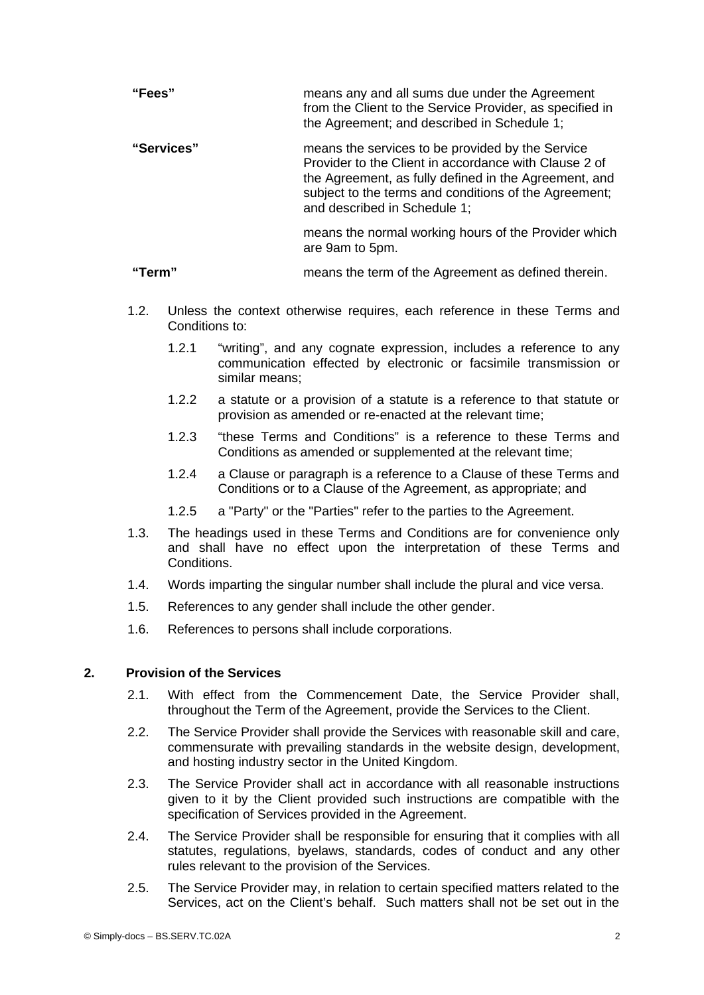| "Fees"     | means any and all sums due under the Agreement<br>from the Client to the Service Provider, as specified in<br>the Agreement; and described in Schedule 1;                                                                                                   |
|------------|-------------------------------------------------------------------------------------------------------------------------------------------------------------------------------------------------------------------------------------------------------------|
| "Services" | means the services to be provided by the Service<br>Provider to the Client in accordance with Clause 2 of<br>the Agreement, as fully defined in the Agreement, and<br>subject to the terms and conditions of the Agreement;<br>and described in Schedule 1; |
|            | means the normal working hours of the Provider which<br>are 9am to 5pm.                                                                                                                                                                                     |

**"Term"** means the term of the Agreement as defined therein.

- 1.2. Unless the context otherwise requires, each reference in these Terms and Conditions to:
	- 1.2.1 "writing", and any cognate expression, includes a reference to any communication effected by electronic or facsimile transmission or similar means;
	- 1.2.2 a statute or a provision of a statute is a reference to that statute or provision as amended or re-enacted at the relevant time;
	- 1.2.3 "these Terms and Conditions" is a reference to these Terms and Conditions as amended or supplemented at the relevant time;
	- 1.2.4 a Clause or paragraph is a reference to a Clause of these Terms and Conditions or to a Clause of the Agreement, as appropriate; and
	- 1.2.5 a "Party" or the "Parties" refer to the parties to the Agreement.
- 1.3. The headings used in these Terms and Conditions are for convenience only and shall have no effect upon the interpretation of these Terms and Conditions.
- 1.4. Words imparting the singular number shall include the plural and vice versa.
- 1.5. References to any gender shall include the other gender.
- 1.6. References to persons shall include corporations.

#### **2. Provision of the Services**

- 2.1. With effect from the Commencement Date, the Service Provider shall, throughout the Term of the Agreement, provide the Services to the Client.
- 2.2. The Service Provider shall provide the Services with reasonable skill and care, commensurate with prevailing standards in the website design, development, and hosting industry sector in the United Kingdom.
- 2.3. The Service Provider shall act in accordance with all reasonable instructions given to it by the Client provided such instructions are compatible with the specification of Services provided in the Agreement.
- 2.4. The Service Provider shall be responsible for ensuring that it complies with all statutes, regulations, byelaws, standards, codes of conduct and any other rules relevant to the provision of the Services.
- 2.5. The Service Provider may, in relation to certain specified matters related to the Services, act on the Client's behalf. Such matters shall not be set out in the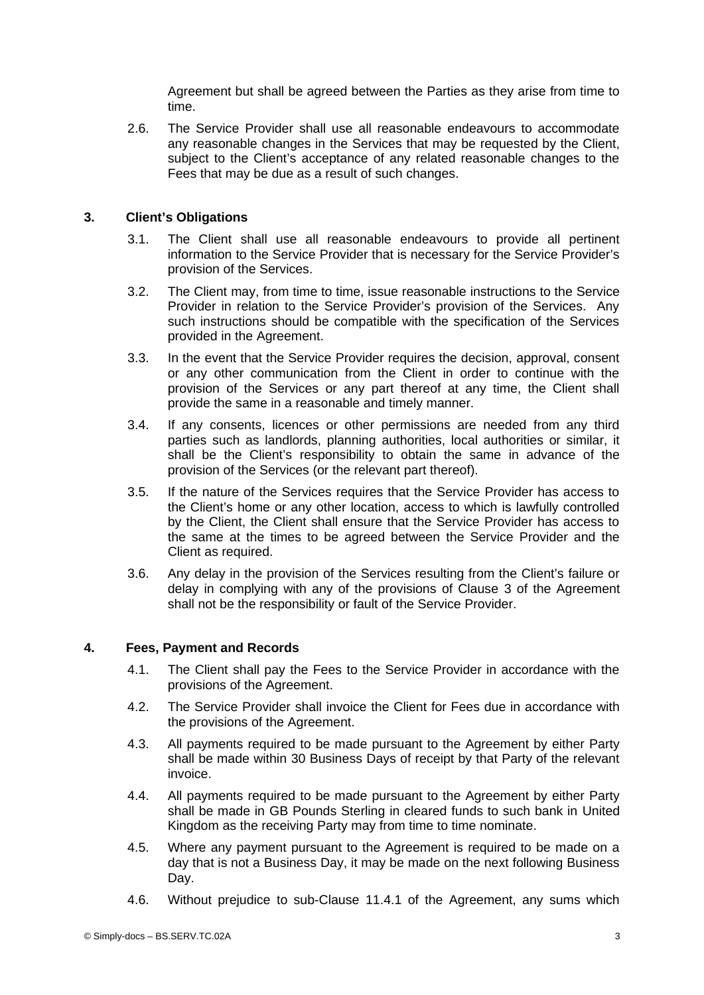Agreement but shall be agreed between the Parties as they arise from time to time.

2.6. The Service Provider shall use all reasonable endeavours to accommodate any reasonable changes in the Services that may be requested by the Client, subject to the Client's acceptance of any related reasonable changes to the Fees that may be due as a result of such changes.

# **3. Client's Obligations**

- <span id="page-2-0"></span>3.1. The Client shall use all reasonable endeavours to provide all pertinent information to the Service Provider that is necessary for the Service Provider's provision of the Services.
- 3.2. The Client may, from time to time, issue reasonable instructions to the Service Provider in relation to the Service Provider's provision of the Services. Any such instructions should be compatible with the specification of the Services provided in the Agreement.
- 3.3. In the event that the Service Provider requires the decision, approval, consent or any other communication from the Client in order to continue with the provision of the Services or any part thereof at any time, the Client shall provide the same in a reasonable and timely manner.
- 3.4. If any consents, licences or other permissions are needed from any third parties such as landlords, planning authorities, local authorities or similar, it shall be the Client's responsibility to obtain the same in advance of the provision of the Services (or the relevant part thereof).
- 3.5. If the nature of the Services requires that the Service Provider has access to the Client's home or any other location, access to which is lawfully controlled by the Client, the Client shall ensure that the Service Provider has access to the same at the times to be agreed between the Service Provider and the Client as required.
- 3.6. Any delay in the provision of the Services resulting from the Client's failure or delay in complying with any of the provisions of Clause [3](#page-2-0) of the Agreement shall not be the responsibility or fault of the Service Provider.

#### **4. Fees, Payment and Records**

- 4.1. The Client shall pay the Fees to the Service Provider in accordance with the provisions of the Agreement.
- 4.2. The Service Provider shall invoice the Client for Fees due in accordance with the provisions of the Agreement.
- <span id="page-2-1"></span>4.3. All payments required to be made pursuant to the Agreement by either Party shall be made within 30 Business Days of receipt by that Party of the relevant invoice.
- 4.4. All payments required to be made pursuant to the Agreement by either Party shall be made in GB Pounds Sterling in cleared funds to such bank in United Kingdom as the receiving Party may from time to time nominate.
- 4.5. Where any payment pursuant to the Agreement is required to be made on a day that is not a Business Day, it may be made on the next following Business Day.
- 4.6. Without prejudice to sub-Clause [11.4.1](#page-7-0) of the Agreement, any sums which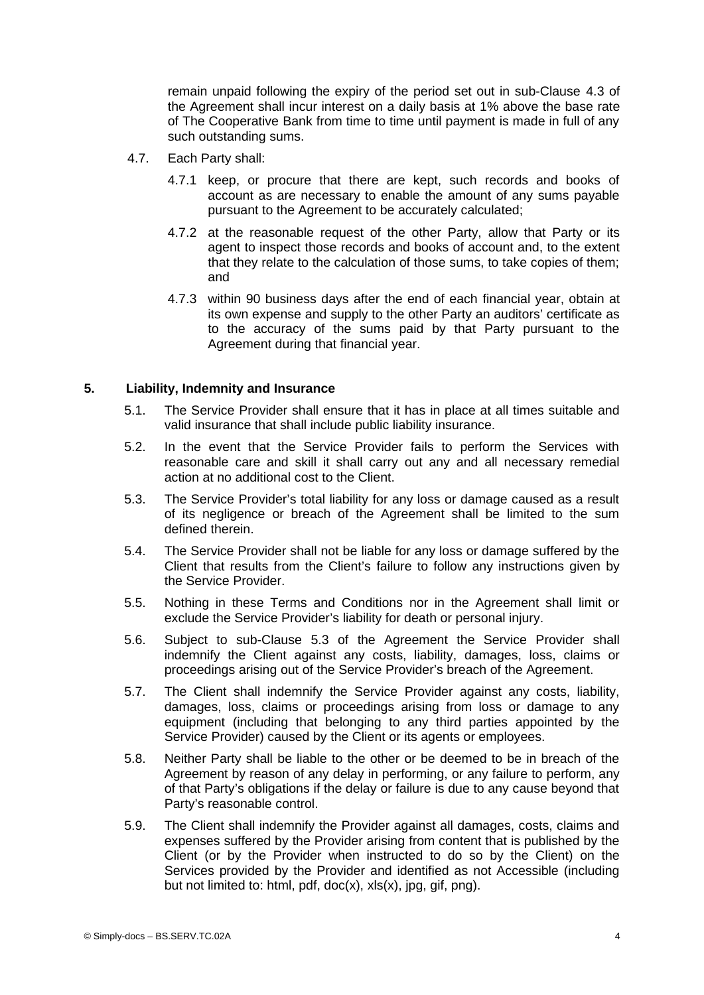remain unpaid following the expiry of the period set out in sub-Clause [4.3](#page-2-1) of the Agreement shall incur interest on a daily basis at 1% above the base rate of The Cooperative Bank from time to time until payment is made in full of any such outstanding sums.

- 4.7. Each Party shall:
	- 4.7.1 keep, or procure that there are kept, such records and books of account as are necessary to enable the amount of any sums payable pursuant to the Agreement to be accurately calculated;
	- 4.7.2 at the reasonable request of the other Party, allow that Party or its agent to inspect those records and books of account and, to the extent that they relate to the calculation of those sums, to take copies of them; and
	- 4.7.3 within 90 business days after the end of each financial year, obtain at its own expense and supply to the other Party an auditors' certificate as to the accuracy of the sums paid by that Party pursuant to the Agreement during that financial year.

# **5. Liability, Indemnity and Insurance**

- 5.1. The Service Provider shall ensure that it has in place at all times suitable and valid insurance that shall include public liability insurance.
- 5.2. In the event that the Service Provider fails to perform the Services with reasonable care and skill it shall carry out any and all necessary remedial action at no additional cost to the Client.
- <span id="page-3-0"></span>5.3. The Service Provider's total liability for any loss or damage caused as a result of its negligence or breach of the Agreement shall be limited to the sum defined therein.
- 5.4. The Service Provider shall not be liable for any loss or damage suffered by the Client that results from the Client's failure to follow any instructions given by the Service Provider.
- 5.5. Nothing in these Terms and Conditions nor in the Agreement shall limit or exclude the Service Provider's liability for death or personal injury.
- 5.6. Subject to sub-Clause [5.3](#page-3-0) of the Agreement the Service Provider shall indemnify the Client against any costs, liability, damages, loss, claims or proceedings arising out of the Service Provider's breach of the Agreement.
- 5.7. The Client shall indemnify the Service Provider against any costs, liability, damages, loss, claims or proceedings arising from loss or damage to any equipment (including that belonging to any third parties appointed by the Service Provider) caused by the Client or its agents or employees.
- 5.8. Neither Party shall be liable to the other or be deemed to be in breach of the Agreement by reason of any delay in performing, or any failure to perform, any of that Party's obligations if the delay or failure is due to any cause beyond that Party's reasonable control.
- 5.9. The Client shall indemnify the Provider against all damages, costs, claims and expenses suffered by the Provider arising from content that is published by the Client (or by the Provider when instructed to do so by the Client) on the Services provided by the Provider and identified as not Accessible (including but not limited to: html, pdf, doc(x), xls(x), jpg, gif, png).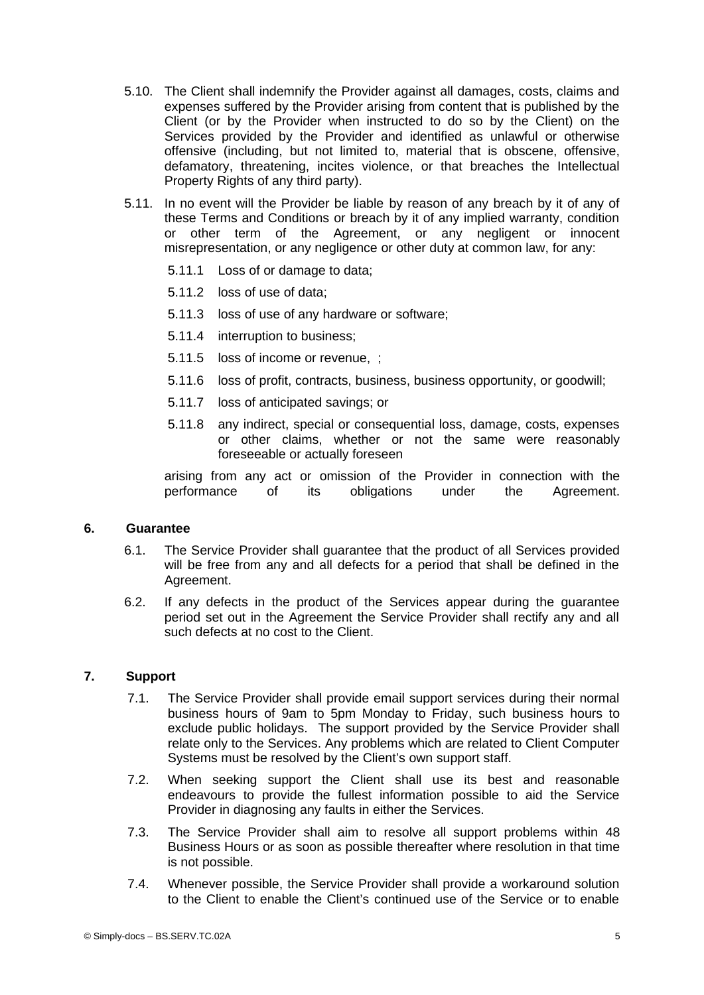- 5.10. The Client shall indemnify the Provider against all damages, costs, claims and expenses suffered by the Provider arising from content that is published by the Client (or by the Provider when instructed to do so by the Client) on the Services provided by the Provider and identified as unlawful or otherwise offensive (including, but not limited to, material that is obscene, offensive, defamatory, threatening, incites violence, or that breaches the Intellectual Property Rights of any third party).
- 5.11. In no event will the Provider be liable by reason of any breach by it of any of these Terms and Conditions or breach by it of any implied warranty, condition or other term of the Agreement, or any negligent or innocent misrepresentation, or any negligence or other duty at common law, for any:
	- 5.11.1 Loss of or damage to data;
	- 5.11.2 loss of use of data;
	- 5.11.3 loss of use of any hardware or software;
	- 5.11.4 interruption to business;
	- 5.11.5 loss of income or revenue, ;
	- 5.11.6 loss of profit, contracts, business, business opportunity, or goodwill;
	- 5.11.7 loss of anticipated savings; or
	- 5.11.8 any indirect, special or consequential loss, damage, costs, expenses or other claims, whether or not the same were reasonably foreseeable or actually foreseen

arising from any act or omission of the Provider in connection with the performance of its obligations under the Agreement.

#### **6. Guarantee**

- 6.1. The Service Provider shall guarantee that the product of all Services provided will be free from any and all defects for a period that shall be defined in the Agreement.
- 6.2. If any defects in the product of the Services appear during the guarantee period set out in the Agreement the Service Provider shall rectify any and all such defects at no cost to the Client.

# **7. Support**

- 7.1. The Service Provider shall provide email support services during their normal business hours of 9am to 5pm Monday to Friday, such business hours to exclude public holidays. The support provided by the Service Provider shall relate only to the Services. Any problems which are related to Client Computer Systems must be resolved by the Client's own support staff.
- 7.2. When seeking support the Client shall use its best and reasonable endeavours to provide the fullest information possible to aid the Service Provider in diagnosing any faults in either the Services.
- 7.3. The Service Provider shall aim to resolve all support problems within 48 Business Hours or as soon as possible thereafter where resolution in that time is not possible.
- 7.4. Whenever possible, the Service Provider shall provide a workaround solution to the Client to enable the Client's continued use of the Service or to enable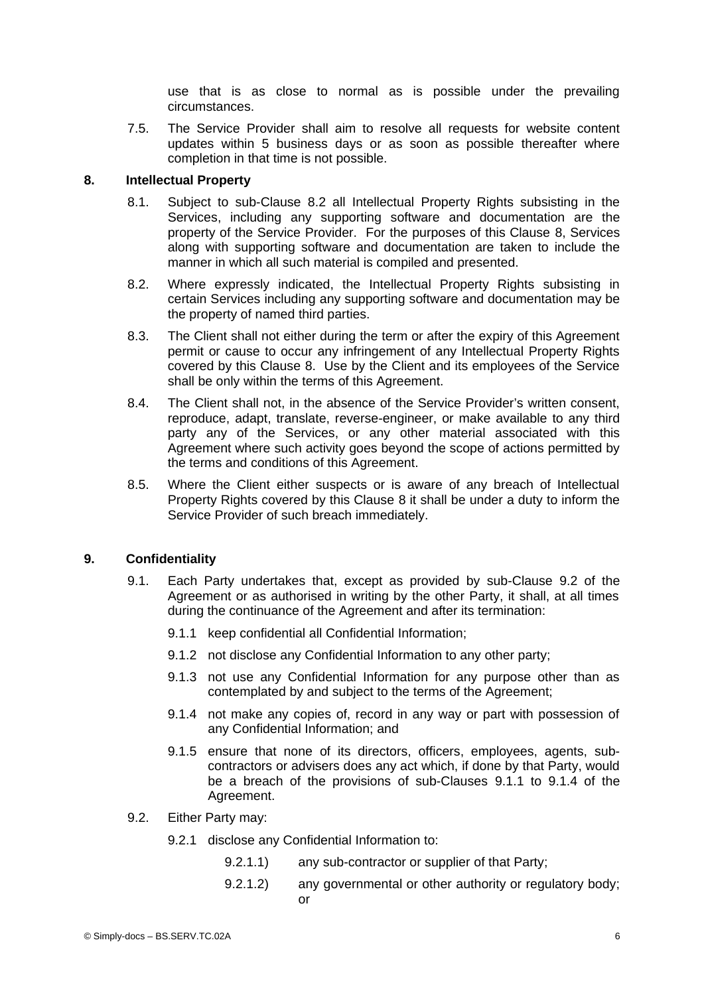use that is as close to normal as is possible under the prevailing circumstances.

7.5. The Service Provider shall aim to resolve all requests for website content updates within 5 business days or as soon as possible thereafter where completion in that time is not possible.

# **8. Intellectual Property**

- <span id="page-5-3"></span>8.1. Subject to sub-Clause [8.2](#page-5-4) all Intellectual Property Rights subsisting in the Services, including any supporting software and documentation are the property of the Service Provider. For the purposes of this Clause [8,](#page-5-3) Services along with supporting software and documentation are taken to include the manner in which all such material is compiled and presented.
- <span id="page-5-4"></span>8.2. Where expressly indicated, the Intellectual Property Rights subsisting in certain Services including any supporting software and documentation may be the property of named third parties.
- 8.3. The Client shall not either during the term or after the expiry of this Agreement permit or cause to occur any infringement of any Intellectual Property Rights covered by this Clause [8](#page-5-3). Use by the Client and its employees of the Service shall be only within the terms of this Agreement.
- 8.4. The Client shall not, in the absence of the Service Provider's written consent, reproduce, adapt, translate, reverse-engineer, or make available to any third party any of the Services, or any other material associated with this Agreement where such activity goes beyond the scope of actions permitted by the terms and conditions of this Agreement.
- 8.5. Where the Client either suspects or is aware of any breach of Intellectual Property Rights covered by this Clause [8](#page-5-3) it shall be under a duty to inform the Service Provider of such breach immediately.

#### **9. Confidentiality**

- <span id="page-5-6"></span><span id="page-5-5"></span><span id="page-5-1"></span>9.1. Each Party undertakes that, except as provided by sub-Clause [9.2](#page-5-2) of the Agreement or as authorised in writing by the other Party, it shall, at all times during the continuance of the Agreement and after its termination:
	- 9.1.1 keep confidential all Confidential Information;
	- 9.1.2 not disclose any Confidential Information to any other party;
	- 9.1.3 not use any Confidential Information for any purpose other than as contemplated by and subject to the terms of the Agreement;
	- 9.1.4 not make any copies of, record in any way or part with possession of any Confidential Information; and
	- 9.1.5 ensure that none of its directors, officers, employees, agents, subcontractors or advisers does any act which, if done by that Party, would be a breach of the provisions of sub-Clauses [9.1.1](#page-5-1) to [9.1.4](#page-5-0) of the Agreement.
- <span id="page-5-2"></span><span id="page-5-0"></span>9.2. Either Party may:
	- 9.2.1 disclose any Confidential Information to:
		- 9.2.1.1) any sub-contractor or supplier of that Party;
		- 9.2.1.2) any governmental or other authority or regulatory body; or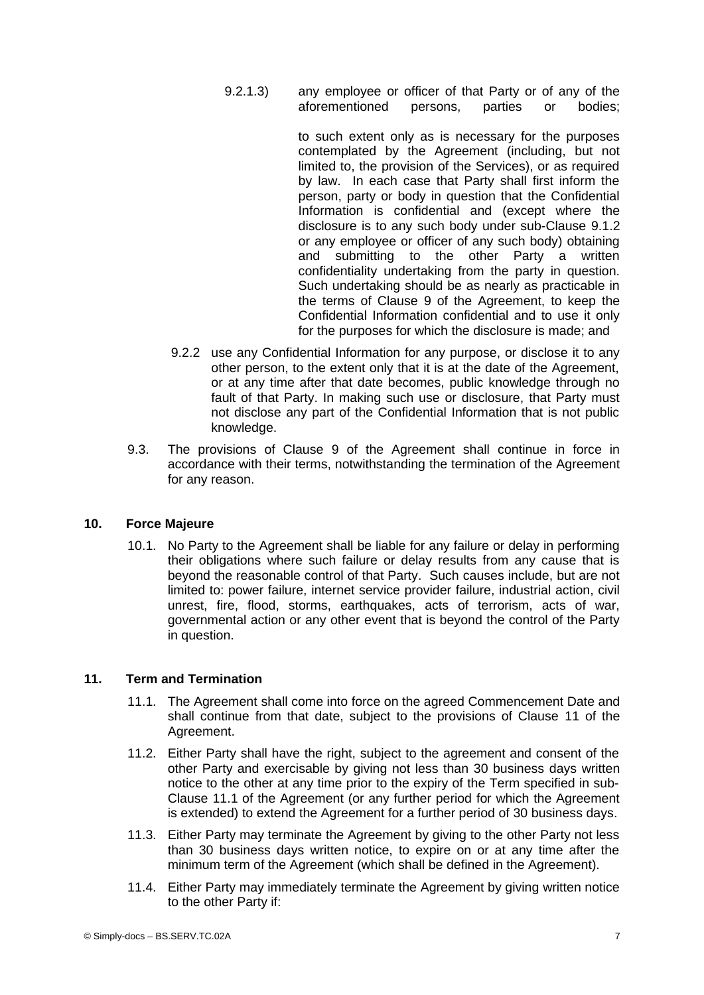9.2.1.3) any employee or officer of that Party or of any of the aforementioned persons, parties or bodies;

> to such extent only as is necessary for the purposes contemplated by the Agreement (including, but not limited to, the provision of the Services), or as required by law. In each case that Party shall first inform the person, party or body in question that the Confidential Information is confidential and (except where the disclosure is to any such body under sub-Clause [9.1.2](#page-5-6) or any employee or officer of any such body) obtaining and submitting to the other Party a written confidentiality undertaking from the party in question. Such undertaking should be as nearly as practicable in the terms of Clause [9](#page-5-5) of the Agreement, to keep the Confidential Information confidential and to use it only for the purposes for which the disclosure is made; and

- 9.2.2 use any Confidential Information for any purpose, or disclose it to any other person, to the extent only that it is at the date of the Agreement, or at any time after that date becomes, public knowledge through no fault of that Party. In making such use or disclosure, that Party must not disclose any part of the Confidential Information that is not public knowledge.
- 9.3. The provisions of Clause [9](#page-5-5) of the Agreement shall continue in force in accordance with their terms, notwithstanding the termination of the Agreement for any reason.

# **10. Force Majeure**

10.1. No Party to the Agreement shall be liable for any failure or delay in performing their obligations where such failure or delay results from any cause that is beyond the reasonable control of that Party. Such causes include, but are not limited to: power failure, internet service provider failure, industrial action, civil unrest, fire, flood, storms, earthquakes, acts of terrorism, acts of war, governmental action or any other event that is beyond the control of the Party in question.

# **11. Term and Termination**

- <span id="page-6-1"></span><span id="page-6-0"></span>11.1. The Agreement shall come into force on the agreed Commencement Date and shall continue from that date, subject to the provisions of Clause [11](#page-6-1) of the Agreement.
- 11.2. Either Party shall have the right, subject to the agreement and consent of the other Party and exercisable by giving not less than 30 business days written notice to the other at any time prior to the expiry of the Term specified in sub-Clause [11.1](#page-6-0) of the Agreement (or any further period for which the Agreement is extended) to extend the Agreement for a further period of 30 business days.
- 11.3. Either Party may terminate the Agreement by giving to the other Party not less than 30 business days written notice, to expire on or at any time after the minimum term of the Agreement (which shall be defined in the Agreement).
- 11.4. Either Party may immediately terminate the Agreement by giving written notice to the other Party if: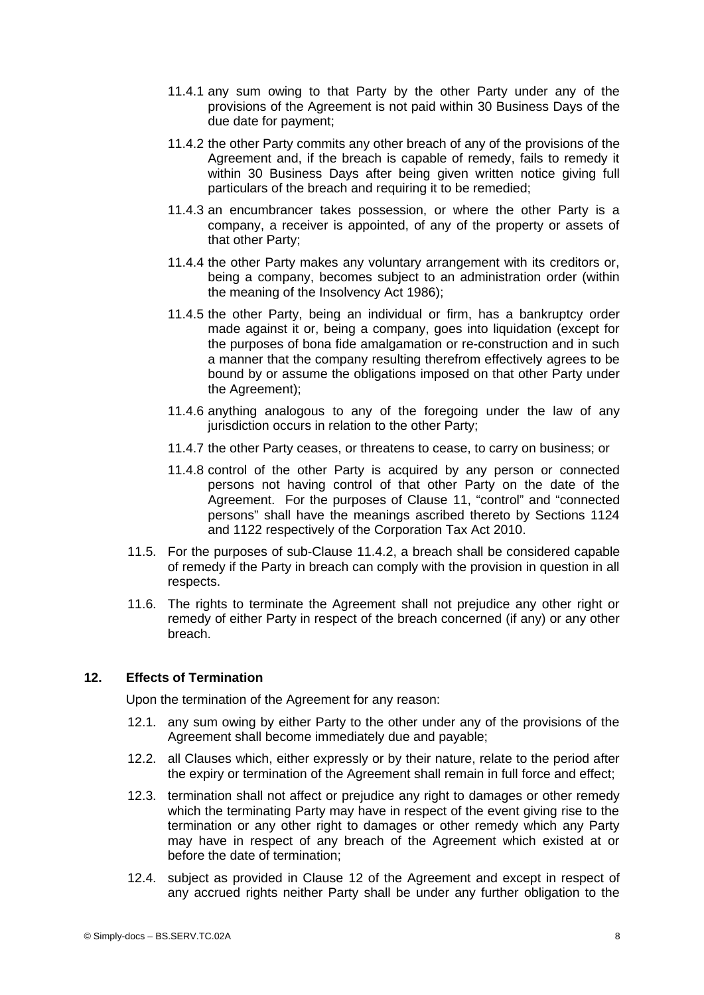- <span id="page-7-0"></span>11.4.1 any sum owing to that Party by the other Party under any of the provisions of the Agreement is not paid within 30 Business Days of the due date for payment;
- <span id="page-7-2"></span>11.4.2 the other Party commits any other breach of any of the provisions of the Agreement and, if the breach is capable of remedy, fails to remedy it within 30 Business Days after being given written notice giving full particulars of the breach and requiring it to be remedied;
- 11.4.3 an encumbrancer takes possession, or where the other Party is a company, a receiver is appointed, of any of the property or assets of that other Party;
- 11.4.4 the other Party makes any voluntary arrangement with its creditors or, being a company, becomes subject to an administration order (within the meaning of the Insolvency Act 1986);
- 11.4.5 the other Party, being an individual or firm, has a bankruptcy order made against it or, being a company, goes into liquidation (except for the purposes of bona fide amalgamation or re-construction and in such a manner that the company resulting therefrom effectively agrees to be bound by or assume the obligations imposed on that other Party under the Agreement);
- 11.4.6 anything analogous to any of the foregoing under the law of any jurisdiction occurs in relation to the other Party;
- 11.4.7 the other Party ceases, or threatens to cease, to carry on business; or
- 11.4.8 control of the other Party is acquired by any person or connected persons not having control of that other Party on the date of the Agreement. For the purposes of Clause [11](#page-6-1), "control" and "connected persons" shall have the meanings ascribed thereto by Sections 1124 and 1122 respectively of the Corporation Tax Act 2010.
- 11.5. For the purposes of sub-Clause [11.4.2,](#page-7-2) a breach shall be considered capable of remedy if the Party in breach can comply with the provision in question in all respects.
- 11.6. The rights to terminate the Agreement shall not prejudice any other right or remedy of either Party in respect of the breach concerned (if any) or any other breach.

# **12. Effects of Termination**

<span id="page-7-1"></span>Upon the termination of the Agreement for any reason:

- 12.1. any sum owing by either Party to the other under any of the provisions of the Agreement shall become immediately due and payable;
- 12.2. all Clauses which, either expressly or by their nature, relate to the period after the expiry or termination of the Agreement shall remain in full force and effect;
- 12.3. termination shall not affect or prejudice any right to damages or other remedy which the terminating Party may have in respect of the event giving rise to the termination or any other right to damages or other remedy which any Party may have in respect of any breach of the Agreement which existed at or before the date of termination;
- 12.4. subject as provided in Clause [12](#page-7-1) of the Agreement and except in respect of any accrued rights neither Party shall be under any further obligation to the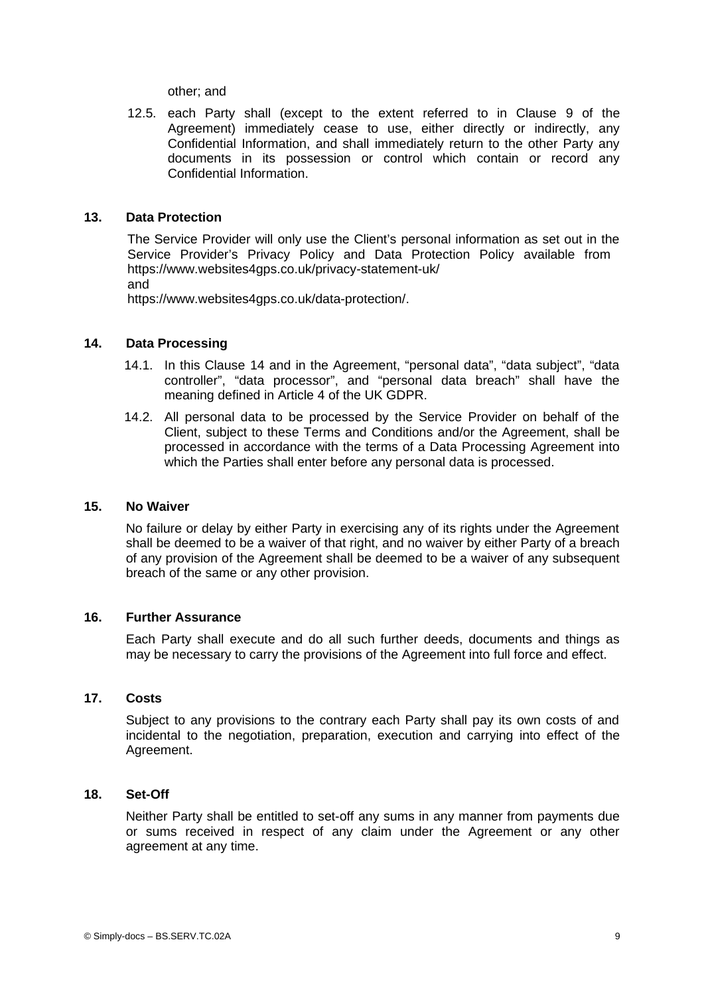other; and

12.5. each Party shall (except to the extent referred to in Clause [9](#page-5-5) of the Agreement) immediately cease to use, either directly or indirectly, any Confidential Information, and shall immediately return to the other Party any documents in its possession or control which contain or record any Confidential Information.

# **13. Data Protection**

The Service Provider will only use the Client's personal information as set out in the Service Provider's Privacy Policy and Data Protection Policy available from https://www.websites4gps.co.uk/privacy-statement-uk/ and

https://www.websites4gps.co.uk/data-protection/.

# **14. Data Processing**

- <span id="page-8-0"></span>14.1. In this Clause [14](#page-8-0) and in the Agreement, "personal data", "data subject", "data controller", "data processor", and "personal data breach" shall have the meaning defined in Article 4 of the UK GDPR.
- 14.2. All personal data to be processed by the Service Provider on behalf of the Client, subject to these Terms and Conditions and/or the Agreement, shall be processed in accordance with the terms of a Data Processing Agreement into which the Parties shall enter before any personal data is processed.

#### **15. No Waiver**

No failure or delay by either Party in exercising any of its rights under the Agreement shall be deemed to be a waiver of that right, and no waiver by either Party of a breach of any provision of the Agreement shall be deemed to be a waiver of any subsequent breach of the same or any other provision.

#### **16. Further Assurance**

Each Party shall execute and do all such further deeds, documents and things as may be necessary to carry the provisions of the Agreement into full force and effect.

#### **17. Costs**

Subject to any provisions to the contrary each Party shall pay its own costs of and incidental to the negotiation, preparation, execution and carrying into effect of the Agreement.

# **18. Set-Off**

Neither Party shall be entitled to set-off any sums in any manner from payments due or sums received in respect of any claim under the Agreement or any other agreement at any time.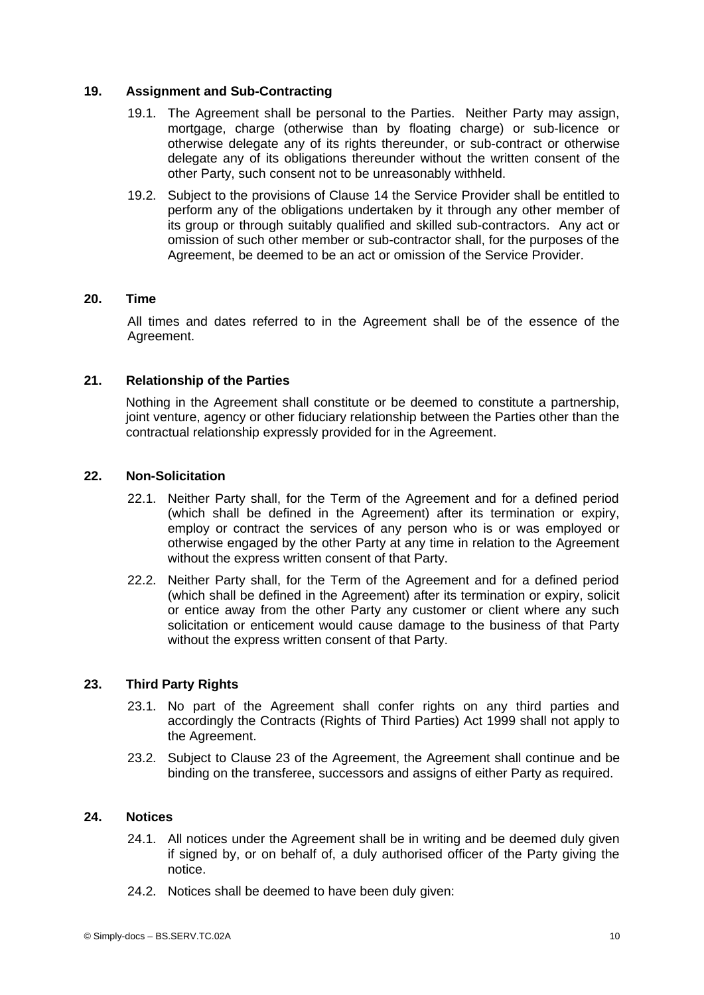# **19. Assignment and Sub-Contracting**

- 19.1. The Agreement shall be personal to the Parties. Neither Party may assign, mortgage, charge (otherwise than by floating charge) or sub-licence or otherwise delegate any of its rights thereunder, or sub-contract or otherwise delegate any of its obligations thereunder without the written consent of the other Party, such consent not to be unreasonably withheld.
- 19.2. Subject to the provisions of Clause [14](#page-8-0) the Service Provider shall be entitled to perform any of the obligations undertaken by it through any other member of its group or through suitably qualified and skilled sub-contractors. Any act or omission of such other member or sub-contractor shall, for the purposes of the Agreement, be deemed to be an act or omission of the Service Provider.

#### **20. Time**

All times and dates referred to in the Agreement shall be of the essence of the Agreement.

# **21. Relationship of the Parties**

Nothing in the Agreement shall constitute or be deemed to constitute a partnership, joint venture, agency or other fiduciary relationship between the Parties other than the contractual relationship expressly provided for in the Agreement.

# **22. Non-Solicitation**

- 22.1. Neither Party shall, for the Term of the Agreement and for a defined period (which shall be defined in the Agreement) after its termination or expiry, employ or contract the services of any person who is or was employed or otherwise engaged by the other Party at any time in relation to the Agreement without the express written consent of that Party.
- 22.2. Neither Party shall, for the Term of the Agreement and for a defined period (which shall be defined in the Agreement) after its termination or expiry, solicit or entice away from the other Party any customer or client where any such solicitation or enticement would cause damage to the business of that Party without the express written consent of that Party.

#### **23. Third Party Rights**

- <span id="page-9-0"></span>23.1. No part of the Agreement shall confer rights on any third parties and accordingly the Contracts (Rights of Third Parties) Act 1999 shall not apply to the Agreement.
- 23.2. Subject to Clause [23](#page-9-0) of the Agreement, the Agreement shall continue and be binding on the transferee, successors and assigns of either Party as required.

#### **24. Notices**

- 24.1. All notices under the Agreement shall be in writing and be deemed duly given if signed by, or on behalf of, a duly authorised officer of the Party giving the notice.
- 24.2. Notices shall be deemed to have been duly given: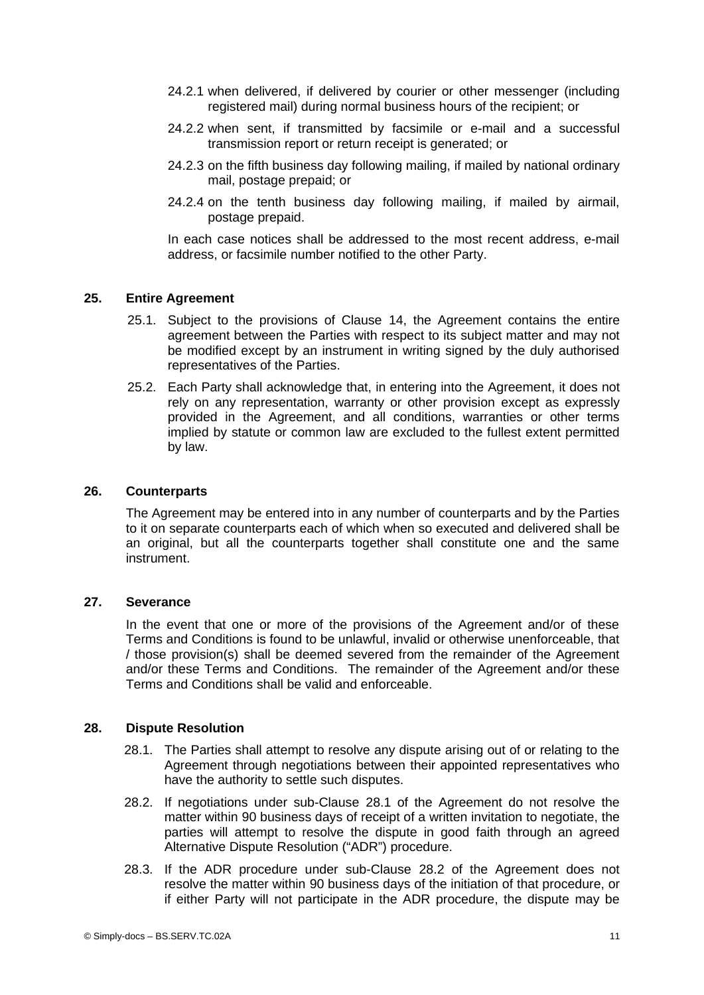- 24.2.1 when delivered, if delivered by courier or other messenger (including registered mail) during normal business hours of the recipient; or
- 24.2.2 when sent, if transmitted by facsimile or e-mail and a successful transmission report or return receipt is generated; or
- 24.2.3 on the fifth business day following mailing, if mailed by national ordinary mail, postage prepaid; or
- 24.2.4 on the tenth business day following mailing, if mailed by airmail, postage prepaid.

In each case notices shall be addressed to the most recent address, e-mail address, or facsimile number notified to the other Party.

# **25. Entire Agreement**

- 25.1. Subject to the provisions of Clause [14](#page-8-0), the Agreement contains the entire agreement between the Parties with respect to its subject matter and may not be modified except by an instrument in writing signed by the duly authorised representatives of the Parties.
- 25.2. Each Party shall acknowledge that, in entering into the Agreement, it does not rely on any representation, warranty or other provision except as expressly provided in the Agreement, and all conditions, warranties or other terms implied by statute or common law are excluded to the fullest extent permitted by law.

#### **26. Counterparts**

The Agreement may be entered into in any number of counterparts and by the Parties to it on separate counterparts each of which when so executed and delivered shall be an original, but all the counterparts together shall constitute one and the same instrument.

# **27. Severance**

In the event that one or more of the provisions of the Agreement and/or of these Terms and Conditions is found to be unlawful, invalid or otherwise unenforceable, that / those provision(s) shall be deemed severed from the remainder of the Agreement and/or these Terms and Conditions. The remainder of the Agreement and/or these Terms and Conditions shall be valid and enforceable.

#### **28. Dispute Resolution**

- <span id="page-10-2"></span><span id="page-10-1"></span>28.1. The Parties shall attempt to resolve any dispute arising out of or relating to the Agreement through negotiations between their appointed representatives who have the authority to settle such disputes.
- <span id="page-10-0"></span>28.2. If negotiations under sub-Clause [28.1](#page-10-1) of the Agreement do not resolve the matter within 90 business days of receipt of a written invitation to negotiate, the parties will attempt to resolve the dispute in good faith through an agreed Alternative Dispute Resolution ("ADR") procedure.
- <span id="page-10-3"></span>28.3. If the ADR procedure under sub-Clause [28.2](#page-10-0) of the Agreement does not resolve the matter within 90 business days of the initiation of that procedure, or if either Party will not participate in the ADR procedure, the dispute may be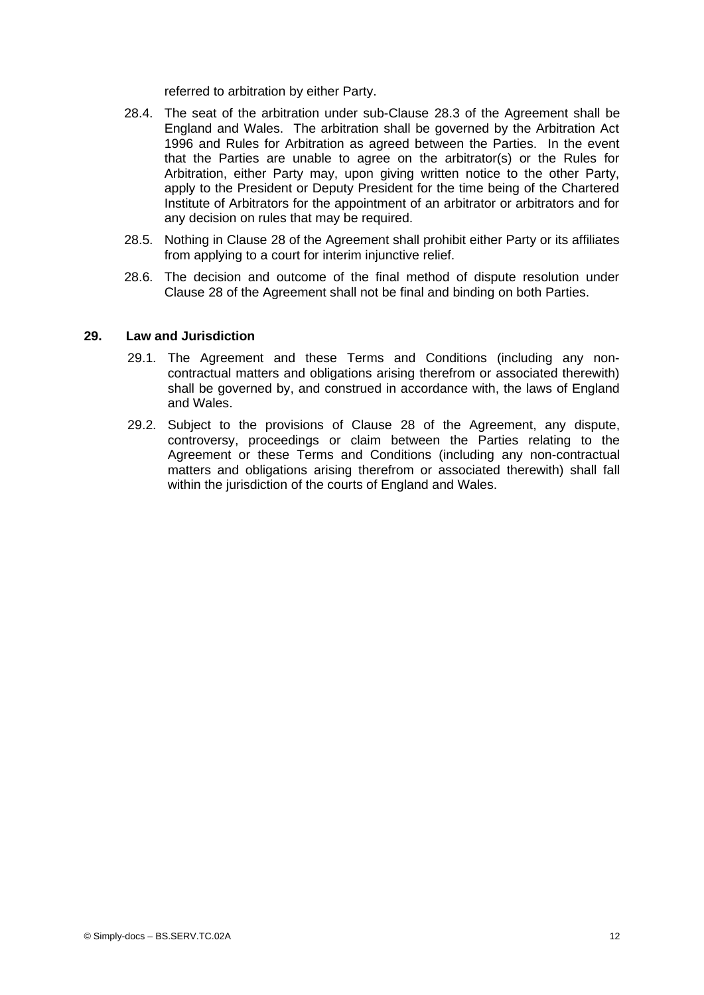referred to arbitration by either Party.

- 28.4. The seat of the arbitration under sub-Clause [28.3](#page-10-3) of the Agreement shall be England and Wales. The arbitration shall be governed by the Arbitration Act 1996 and Rules for Arbitration as agreed between the Parties. In the event that the Parties are unable to agree on the arbitrator(s) or the Rules for Arbitration, either Party may, upon giving written notice to the other Party, apply to the President or Deputy President for the time being of the Chartered Institute of Arbitrators for the appointment of an arbitrator or arbitrators and for any decision on rules that may be required.
- 28.5. Nothing in Clause [28](#page-10-2) of the Agreement shall prohibit either Party or its affiliates from applying to a court for interim injunctive relief.
- 28.6. The decision and outcome of the final method of dispute resolution under Clause [28](#page-10-2) of the Agreement shall not be final and binding on both Parties.

#### **29. Law and Jurisdiction**

- 29.1. The Agreement and these Terms and Conditions (including any noncontractual matters and obligations arising therefrom or associated therewith) shall be governed by, and construed in accordance with, the laws of England and Wales.
- 29.2. Subject to the provisions of Clause [28](#page-10-2) of the Agreement, any dispute, controversy, proceedings or claim between the Parties relating to the Agreement or these Terms and Conditions (including any non-contractual matters and obligations arising therefrom or associated therewith) shall fall within the jurisdiction of the courts of England and Wales.